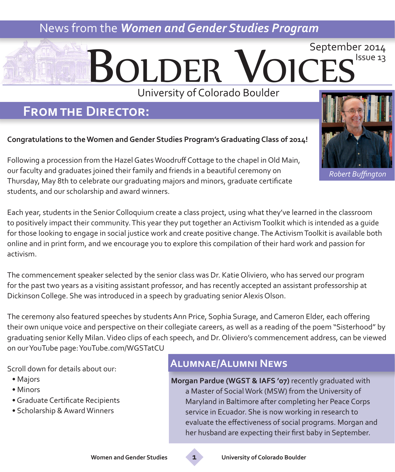### News from the *Women and Gender Studies Program*

## **BOLDER VOIC** September 2014 Issue 13 University of Colorado Boulder

### **From the Director:**

#### **Congratulations to the Women and Gender Studies Program's Graduating Class of 2014!**

Following a procession from the Hazel Gates Woodruff Cottage to the chapel in Old Main, our faculty and graduates joined their family and friends in a beautiful ceremony on Thursday, May 8th to celebrate our graduating majors and minors, graduate certificate students, and our scholarship and award winners.

Each year, students in the Senior Colloquium create a class project, using what they've learned in the classroom to positively impact their community. This year they put together an Activism Toolkit which is intended as a guide for those looking to engage in social justice work and create positive change. The Activism Toolkit is available both online and in print form, and we encourage you to explore this compilation of their hard work and passion for activism.

The commencement speaker selected by the senior class was Dr. Katie Oliviero, who has served our program for the past two years as a visiting assistant professor, and has recently accepted an assistant professorship at Dickinson College. She was introduced in a speech by graduating senior Alexis Olson.

The ceremony also featured speeches by students Ann Price, Sophia Surage, and Cameron Elder, each offering their own unique voice and perspective on their collegiate careers, as well as a reading of the poem "Sisterhood" by graduating senior Kelly Milan. Video clips of each speech, and Dr. Oliviero's commencement address, can be viewed on our YouTube page: YouTube.com/WGSTatCU

Scroll down for details about our:

- Majors
- Minors
- Graduate Certificate Recipients
- Scholarship & Award Winners

### **Alumnae/Alumni News**

**Morgan Pardue (WGST & IAFS '07)** recently graduated with a Master of Social Work (MSW) from the University of Maryland in Baltimore after completing her Peace Corps service in Ecuador. She is now working in research to evaluate the effectiveness of social programs. Morgan and her husband are expecting their first baby in September.



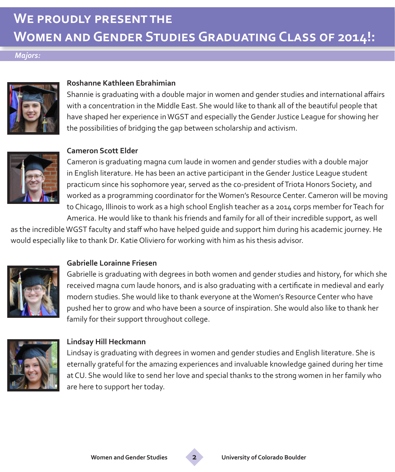# **We proudly present the Women and Gender Studies Graduating Class of 2014!:**

#### *Majors:*



#### **Roshanne Kathleen Ebrahimian**

Shannie is graduating with a double major in women and gender studies and international affairs with a concentration in the Middle East. She would like to thank all of the beautiful people that have shaped her experience in WGST and especially the Gender Justice League for showing her the possibilities of bridging the gap between scholarship and activism.



#### **Cameron Scott Elder**

Cameron is graduating magna cum laude in women and gender studies with a double major in English literature. He has been an active participant in the Gender Justice League student practicum since his sophomore year, served as the co-president of Triota Honors Society, and worked as a programming coordinator for the Women's Resource Center. Cameron will be moving to Chicago, Illinois to work as a high school English teacher as a 2014 corps member for Teach for America. He would like to thank his friends and family for all of their incredible support, as well

as the incredible WGST faculty and staff who have helped guide and support him during his academic journey. He would especially like to thank Dr. Katie Oliviero for working with him as his thesis advisor.



#### **Gabrielle Lorainne Friesen**

Gabrielle is graduating with degrees in both women and gender studies and history, for which she received magna cum laude honors, and is also graduating with a certificate in medieval and early modern studies. She would like to thank everyone at the Women's Resource Center who have pushed her to grow and who have been a source of inspiration. She would also like to thank her family for their support throughout college.



#### **Lindsay Hill Heckmann**

Lindsay is graduating with degrees in women and gender studies and English literature. She is eternally grateful for the amazing experiences and invaluable knowledge gained during her time at CU. She would like to send her love and special thanks to the strong women in her family who are here to support her today.

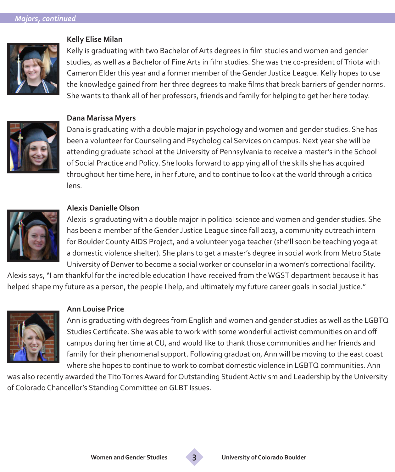

#### **Kelly Elise Milan**

Kelly is graduating with two Bachelor of Arts degrees in film studies and women and gender studies, as well as a Bachelor of Fine Arts in film studies. She was the co-president of Triota with Cameron Elder this year and a former member of the Gender Justice League. Kelly hopes to use the knowledge gained from her three degrees to make films that break barriers of gender norms. She wants to thank all of her professors, friends and family for helping to get her here today.



#### **Dana Marissa Myers**

Dana is graduating with a double major in psychology and women and gender studies. She has been a volunteer for Counseling and Psychological Services on campus. Next year she will be attending graduate school at the University of Pennsylvania to receive a master's in the School of Social Practice and Policy. She looks forward to applying all of the skills she has acquired throughout her time here, in her future, and to continue to look at the world through a critical lens.



#### **Alexis Danielle Olson**

Alexis is graduating with a double major in political science and women and gender studies. She has been a member of the Gender Justice League since fall 2013, a community outreach intern for Boulder County AIDS Project, and a volunteer yoga teacher (she'll soon be teaching yoga at a domestic violence shelter). She plans to get a master's degree in social work from Metro State University of Denver to become a social worker or counselor in a women's correctional facility.

Alexis says, "I am thankful for the incredible education I have received from the WGST department because it has helped shape my future as a person, the people I help, and ultimately my future career goals in social justice."



#### **Ann Louise Price**

Ann is graduating with degrees from English and women and gender studies as well as the LGBTQ Studies Certificate. She was able to work with some wonderful activist communities on and off campus during her time at CU, and would like to thank those communities and her friends and family for their phenomenal support. Following graduation, Ann will be moving to the east coast where she hopes to continue to work to combat domestic violence in LGBTQ communities. Ann

was also recently awarded the Tito Torres Award for Outstanding Student Activism and Leadership by the University of Colorado Chancellor's Standing Committee on GLBT Issues.

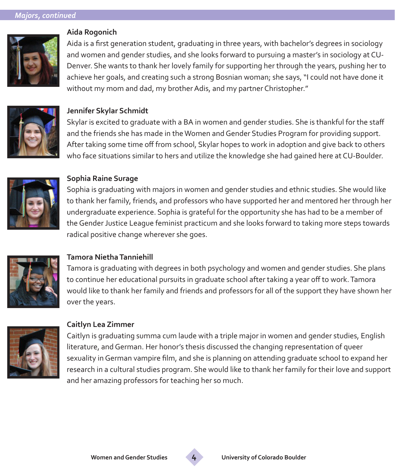

#### **Aida Rogonich**

Aida is a first generation student, graduating in three years, with bachelor's degrees in sociology and women and gender studies, and she looks forward to pursuing a master's in sociology at CU-Denver. She wants to thank her lovely family for supporting her through the years, pushing her to achieve her goals, and creating such a strong Bosnian woman; she says, "I could not have done it without my mom and dad, my brother Adis, and my partner Christopher."



#### **Jennifer Skylar Schmidt**

Skylar is excited to graduate with a BA in women and gender studies. She is thankful for the staff and the friends she has made in the Women and Gender Studies Program for providing support. After taking some time off from school, Skylar hopes to work in adoption and give back to others who face situations similar to hers and utilize the knowledge she had gained here at CU-Boulder.



#### **Sophia Raine Surage**

Sophia is graduating with majors in women and gender studies and ethnic studies. She would like to thank her family, friends, and professors who have supported her and mentored her through her undergraduate experience. Sophia is grateful for the opportunity she has had to be a member of the Gender Justice League feminist practicum and she looks forward to taking more steps towards radical positive change wherever she goes.



### **Tamora Nietha Tanniehill**

Tamora is graduating with degrees in both psychology and women and gender studies. She plans to continue her educational pursuits in graduate school after taking a year off to work. Tamora would like to thank her family and friends and professors for all of the support they have shown her over the years.



#### **Caitlyn Lea Zimmer**

Caitlyn is graduating summa cum laude with a triple major in women and gender studies, English literature, and German. Her honor's thesis discussed the changing representation of queer sexuality in German vampire film, and she is planning on attending graduate school to expand her research in a cultural studies program. She would like to thank her family for their love and support and her amazing professors for teaching her so much.

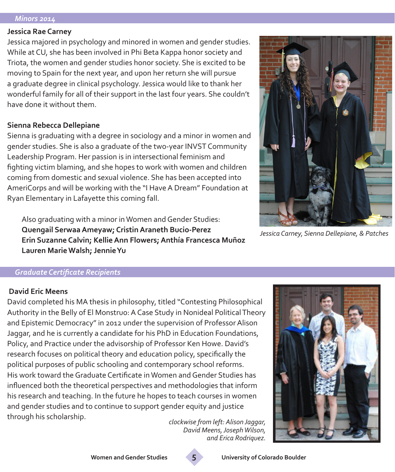#### *Minors 2014*

#### **Jessica Rae Carney**

Jessica majored in psychology and minored in women and gender studies. While at CU, she has been involved in Phi Beta Kappa honor society and Triota, the women and gender studies honor society. She is excited to be moving to Spain for the next year, and upon her return she will pursue a graduate degree in clinical psychology. Jessica would like to thank her wonderful family for all of their support in the last four years. She couldn't have done it without them.

#### **Sienna Rebecca Dellepiane**

Sienna is graduating with a degree in sociology and a minor in women and gender studies. She is also a graduate of the two-year INVST Community Leadership Program. Her passion is in intersectional feminism and fighting victim blaming, and she hopes to work with women and children coming from domestic and sexual violence. She has been accepted into AmeriCorps and will be working with the "I Have A Dream" Foundation at Ryan Elementary in Lafayette this coming fall.

Also graduating with a minor in Women and Gender Studies: **Quengail Serwaa Ameyaw; Cristin Araneth Bucio-Perez Erin Suzanne Calvin; Kellie Ann Flowers; Anthía Francesca Muñoz Lauren Marie Walsh; Jennie Yu**



*Jessica Carney, Sienna Dellepiane, & Patches*

#### *Graduate Certificate Recipients*

#### **David Eric Meens**

David completed his MA thesis in philosophy, titled "Contesting Philosophical Authority in the Belly of El Monstruo: A Case Study in Nonideal Political Theory and Epistemic Democracy" in 2012 under the supervision of Professor Alison Jaggar, and he is currently a candidate for his PhD in Education Foundations, Policy, and Practice under the advisorship of Professor Ken Howe. David's research focuses on political theory and education policy, specifically the political purposes of public schooling and contemporary school reforms. His work toward the Graduate Certificate in Women and Gender Studies has influenced both the theoretical perspectives and methodologies that inform his research and teaching. In the future he hopes to teach courses in women and gender studies and to continue to support gender equity and justice through his scholarship. *clockwise from left: Alison Jaggar,* 

*David Meens, Joseph Wilson, and Erica Rodriquez.*



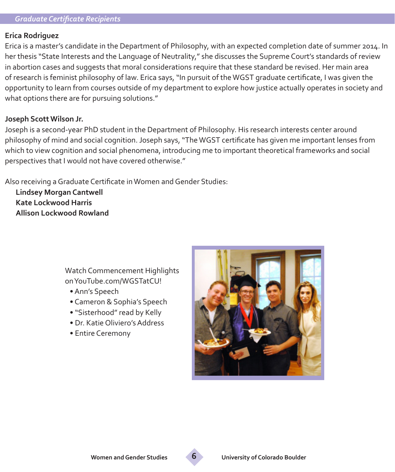#### *Graduate Certificate Recipients*

#### **Erica Rodriguez**

Erica is a master's candidate in the Department of Philosophy, with an expected completion date of summer 2014. In her thesis "State Interests and the Language of Neutrality," she discusses the Supreme Court's standards of review in abortion cases and suggests that moral considerations require that these standard be revised. Her main area of research is feminist philosophy of law. Erica says, "In pursuit of the WGST graduate certificate, I was given the opportunity to learn from courses outside of my department to explore how justice actually operates in society and what options there are for pursuing solutions."

#### **Joseph Scott Wilson Jr.**

Joseph is a second-year PhD student in the Department of Philosophy. His research interests center around philosophy of mind and social cognition. Joseph says, "The WGST certificate has given me important lenses from which to view cognition and social phenomena, introducing me to important theoretical frameworks and social perspectives that I would not have covered otherwise."

Also receiving a Graduate Certificate in Women and Gender Studies:

**Lindsey Morgan Cantwell Kate Lockwood Harris Allison Lockwood Rowland**

> Watch Commencement Highlights on YouTube.com/WGSTatCU!

- Ann's Speech
- Cameron & Sophia's Speech
- "Sisterhood" read by Kelly
- Dr. Katie Oliviero's Address
- Entire Ceremony



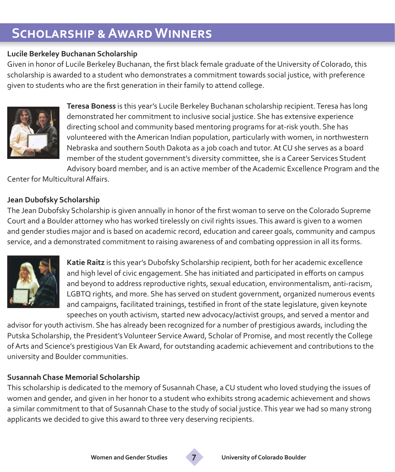# **Scholarship & Award Winners**

#### **Lucile Berkeley Buchanan Scholarship**

Given in honor of Lucile Berkeley Buchanan, the first black female graduate of the University of Colorado, this scholarship is awarded to a student who demonstrates a commitment towards social justice, with preference given to students who are the first generation in their family to attend college.



**Teresa Boness** is this year's Lucile Berkeley Buchanan scholarship recipient. Teresa has long demonstrated her commitment to inclusive social justice. She has extensive experience directing school and community based mentoring programs for at-risk youth. She has volunteered with the American Indian population, particularly with women, in northwestern Nebraska and southern South Dakota as a job coach and tutor. At CU she serves as a board member of the student government's diversity committee, she is a Career Services Student Advisory board member, and is an active member of the Academic Excellence Program and the

Center for Multicultural Affairs.

### **Jean Dubofsky Scholarship**

The Jean Dubofsky Scholarship is given annually in honor of the first woman to serve on the Colorado Supreme Court and a Boulder attorney who has worked tirelessly on civil rights issues. This award is given to a women and gender studies major and is based on academic record, education and career goals, community and campus service, and a demonstrated commitment to raising awareness of and combating oppression in all its forms.



**Katie Raitz** is this year's Dubofsky Scholarship recipient, both for her academic excellence and high level of civic engagement. She has initiated and participated in efforts on campus and beyond to address reproductive rights, sexual education, environmentalism, anti-racism, LGBTQ rights, and more. She has served on student government, organized numerous events and campaigns, facilitated trainings, testified in front of the state legislature, given keynote speeches on youth activism, started new advocacy/activist groups, and served a mentor and

advisor for youth activism. She has already been recognized for a number of prestigious awards, including the Putska Scholarship, the President's Volunteer Service Award, Scholar of Promise, and most recently the College of Arts and Science's prestigious Van Ek Award, for outstanding academic achievement and contributions to the university and Boulder communities.

### **Susannah Chase Memorial Scholarship**

This scholarship is dedicated to the memory of Susannah Chase, a CU student who loved studying the issues of women and gender, and given in her honor to a student who exhibits strong academic achievement and shows a similar commitment to that of Susannah Chase to the study of social justice. This year we had so many strong applicants we decided to give this award to three very deserving recipients.

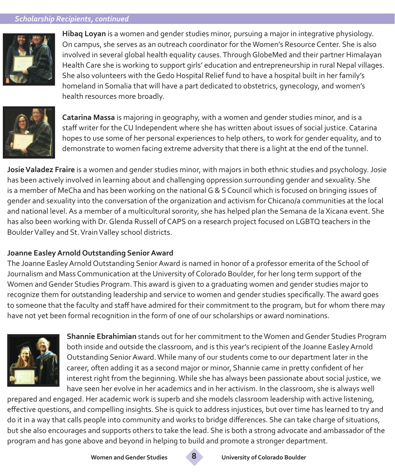#### *Scholarship Recipients, continued*



**Hibaq Loyan** is a women and gender studies minor, pursuing a major in integrative physiology. On campus, she serves as an outreach coordinator for the Women's Resource Center. She is also involved in several global health equality causes. Through GlobeMed and their partner Himalayan Health Care she is working to support girls' education and entrepreneurship in rural Nepal villages. She also volunteers with the Gedo Hospital Relief fund to have a hospital built in her family's homeland in Somalia that will have a part dedicated to obstetrics, gynecology, and women's health resources more broadly.



**Catarina Massa** is majoring in geography, with a women and gender studies minor, and is a staff writer for the CU Independent where she has written about issues of social justice. Catarina hopes to use some of her personal experiences to help others, to work for gender equality, and to demonstrate to women facing extreme adversity that there is a light at the end of the tunnel.

**Josie Valadez Fraire** is a women and gender studies minor, with majors in both ethnic studies and psychology. Josie has been actively involved in learning about and challenging oppression surrounding gender and sexuality. She is a member of MeCha and has been working on the national G & S Council which is focused on bringing issues of gender and sexuality into the conversation of the organization and activism for Chicano/a communities at the local and national level. As a member of a multicultural sorority, she has helped plan the Semana de la Xicana event. She has also been working with Dr. Glenda Russell of CAPS on a research project focused on LGBTQ teachers in the Boulder Valley and St. Vrain Valley school districts.

#### **Joanne Easley Arnold Outstanding Senior Award**

The Joanne Easley Arnold Outstanding Senior Award is named in honor of a professor emerita of the School of Journalism and Mass Communication at the University of Colorado Boulder, for her long term support of the Women and Gender Studies Program. This award is given to a graduating women and gender studies major to recognize them for outstanding leadership and service to women and gender studies specifically. The award goes to someone that the faculty and staff have admired for their commitment to the program, but for whom there may have not yet been formal recognition in the form of one of our scholarships or award nominations.



**Shannie Ebrahimian** stands out for her commitment to the Women and Gender Studies Program both inside and outside the classroom, and is this year's recipient of the Joanne Easley Arnold Outstanding Senior Award. While many of our students come to our department later in the career, often adding it as a second major or minor, Shannie came in pretty confident of her interest right from the beginning. While she has always been passionate about social justice, we have seen her evolve in her academics and in her activism. In the classroom, she is always well

prepared and engaged. Her academic work is superb and she models classroom leadership with active listening, effective questions, and compelling insights. She is quick to address injustices, but over time has learned to try and do it in a way that calls people into community and works to bridge differences. She can take charge of situations, but she also encourages and supports others to take the lead. She is both a strong advocate and ambassador of the program and has gone above and beyond in helping to build and promote a stronger department.